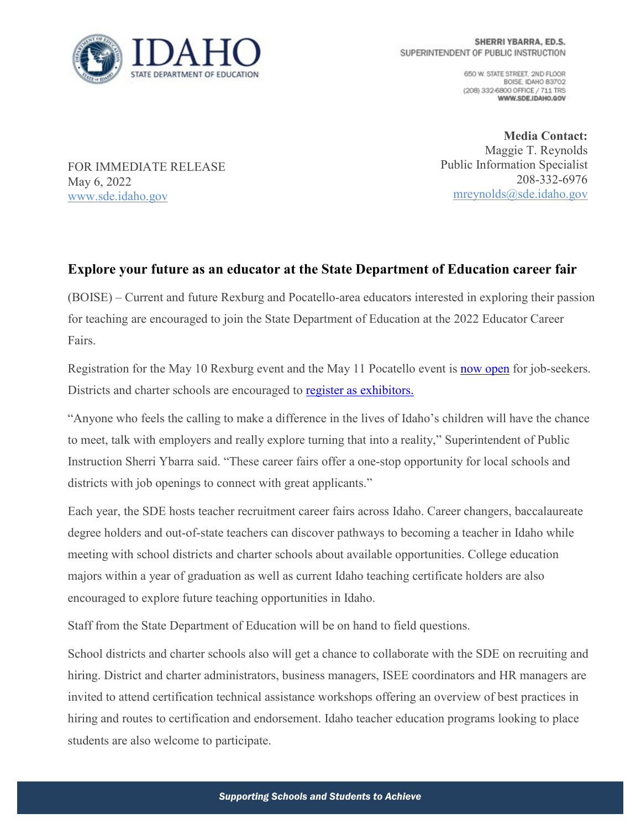

650 W. STATE STREET, 2ND FLOOR BOISE, IDAHO 83702 (208) 332-6800 OFFICE / 711 TRS WWW.SDE.IDAHO.GOV

FOR IMMEDIATE RELEASE May 6, 2022 [www.sde.idaho.gov](http://www.sde.idaho.gov/)

**Media Contact:** Maggie T. Reynolds Public Information Specialist 208-332-6976 [mreynolds@sde.idaho.gov](mailto:mreynolds@sde.idaho.gov)

## **Explore your future as an educator at the State Department of Education career fair**

(BOISE) – Current and future Rexburg and Pocatello-area educators interested in exploring their passion for teaching are encouraged to join the State Department of Education at the 2022 Educator Career Fairs.

Registration for the May 10 Rexburg event and the May 11 Pocatello event is [now open](https://www.sde.idaho.gov/events/career-fair/) for job-seekers. Districts and charter schools are encouraged to register as exhibitors.

"Anyone who feels the calling to make a difference in the lives of Idaho's children will have the chance to meet, talk with employers and really explore turning that into a reality," Superintendent of Public Instruction Sherri Ybarra said. "These career fairs offer a one-stop opportunity for local schools and districts with job openings to connect with great applicants."

Each year, the SDE hosts teacher recruitment career fairs across Idaho. Career changers, baccalaureate degree holders and out-of-state teachers can discover pathways to becoming a teacher in Idaho while meeting with school districts and charter schools about available opportunities. College education majors within a year of graduation as well as current Idaho teaching certificate holders are also encouraged to explore future teaching opportunities in Idaho.

Staff from the State Department of Education will be on hand to field questions.

School districts and charter schools also will get a chance to collaborate with the SDE on recruiting and hiring. District and charter administrators, business managers, ISEE coordinators and HR managers are invited to attend certification technical assistance workshops offering an overview of best practices in hiring and routes to certification and endorsement. Idaho teacher education programs looking to place students are also welcome to participate.